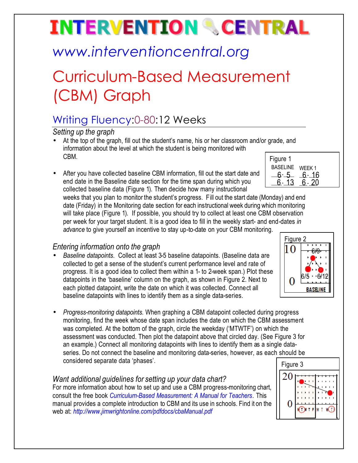# **INTERVENTION & CENTRAL**

## *www.interventioncentral.org*

## Curriculum-Based Measurement (CBM) Graph

### Writing Fluency:0-80:12 Weeks

*Setting up the graph*

- Figure 1 • At the top of the graph, fill out the student's name, his or her classroom and/or grade, and information about the level at which the student is being monitored with CBM.
- After you have collected baseline CBM information, fill out the start date and end date in the Baseline date section for the time span during which you collected baseline data (Figure 1). Then decide how many instructional

weeks that you plan to monitor the student's progress. Fill out the start date (Mo date (Friday) in the Monitoring date section for each instructional week during wh will take place (Figure 1). If possible, you should try to collect at least one CBM observation per week for your target student. It is a good idea to fill in the weekly start- and end-dates *in advance* to give yourself an incentive to stay up-to-date on your CBM monitoring.

### *Entering information onto the graph*

- *Baseline datapoints*. Collect at least 3-5 baseline datapoints. (Baseline data are collected to get a sense of the student's current performance level and rate of progress. It is a good idea to collect them within a 1- to 2-week span.) Plot these datapoints in the 'baseline' column on the graph, as shown in Figure 2. Next to each plotted datapoint, write the date on which it was collected. Connect all baseline datapoints with lines to identify them as a single data-series.
- *Progress-monitoring datapoints*. When graphing a CBM datapoint collected during progress monitoring, find the week whose date span includes the date on which the CBM assessment was completed. At the bottom of the graph, circle the weekday ('MTWTF') on which the assessment was conducted. Then plot the datapoint above that circled day. (See Figure 3 for an example.) Connect all monitoring datapoints with lines to identify them as a single dataseries. Do not connect the baseline and monitoring data-series, however, as each should be considered separate data 'phases'.

#### *Want additional guidelines for setting up your data chart?*

For more information about how to set up and use a CBM progress-monitoring chart, consult the free book *Curriculum-Based Measurement: A Manual for Teachers.* This manual provides a complete introduction to CBM and its use in schools. Find it on the web at: *http://www.jimwrightonline.com/pdfdocs/cbaManual.pdf*

| 6--5-6-16<br>$6 - 13$<br>6 - 20  |  |
|----------------------------------|--|
| onday) and end<br>ich monitoring |  |
| A obconvotion                    |  |

BASELINE WEEK 1